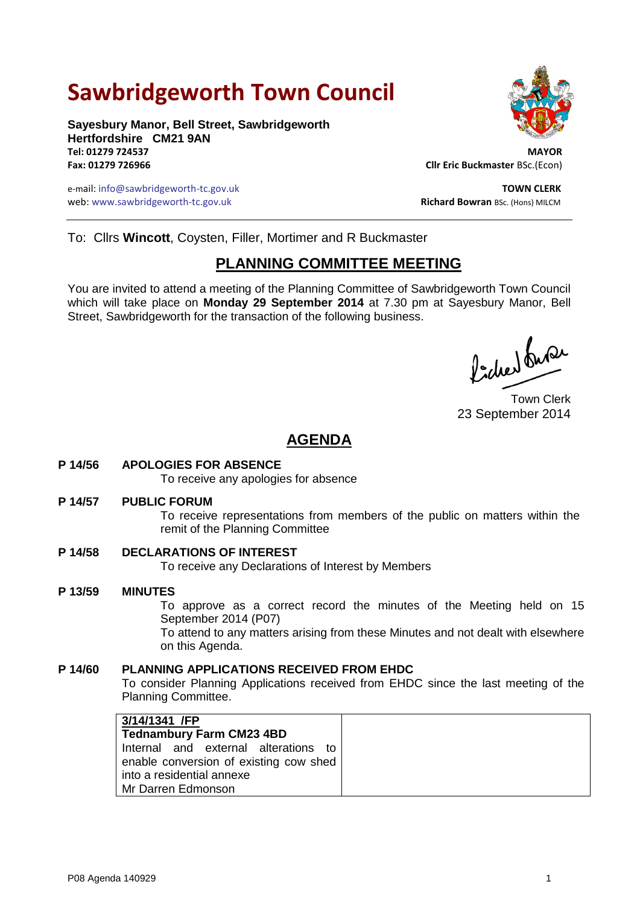# **Sawbridgeworth Town Council**

**Sayesbury Manor, Bell Street, Sawbridgeworth Hertfordshire CM21 9AN Tel: 01279 724537 MAYOR**

e-mail: info@sawbridgeworth-tc.gov.uk **TOWN CLERK** web: www.sawbridgeworth-tc.gov.uk<br> **Richard Bowran** BSc. (Hons) MILCM



**Fax: 01279 726966 Cllr Eric Buckmaster** BSc.(Econ)

To: Cllrs **Wincott**, Coysten, Filler, Mortimer and R Buckmaster

## **PLANNING COMMITTEE MEETING**

You are invited to attend a meeting of the Planning Committee of Sawbridgeworth Town Council which will take place on **Monday 29 September 2014** at 7.30 pm at Sayesbury Manor, Bell Street, Sawbridgeworth for the transaction of the following business.

Picked fuse

Town Clerk 23 September 2014

## **AGENDA**

**P 14/56 APOLOGIES FOR ABSENCE**

To receive any apologies for absence

#### **P 14/57 PUBLIC FORUM**

To receive representations from members of the public on matters within the remit of the Planning Committee

**P 14/58 DECLARATIONS OF INTEREST** To receive any Declarations of Interest by Members

**P 13/59 MINUTES**

To approve as a correct record the minutes of the Meeting held on 15 September 2014 (P07)

To attend to any matters arising from these Minutes and not dealt with elsewhere on this Agenda.

#### **P 14/60 PLANNING APPLICATIONS RECEIVED FROM EHDC**

To consider Planning Applications received from EHDC since the last meeting of the Planning Committee.

| 3/14/1341 /FP                          |
|----------------------------------------|
| <b>Tednambury Farm CM23 4BD</b>        |
| Internal and external alterations to   |
| enable conversion of existing cow shed |
| into a residential annexe              |
| Mr Darren Edmonson                     |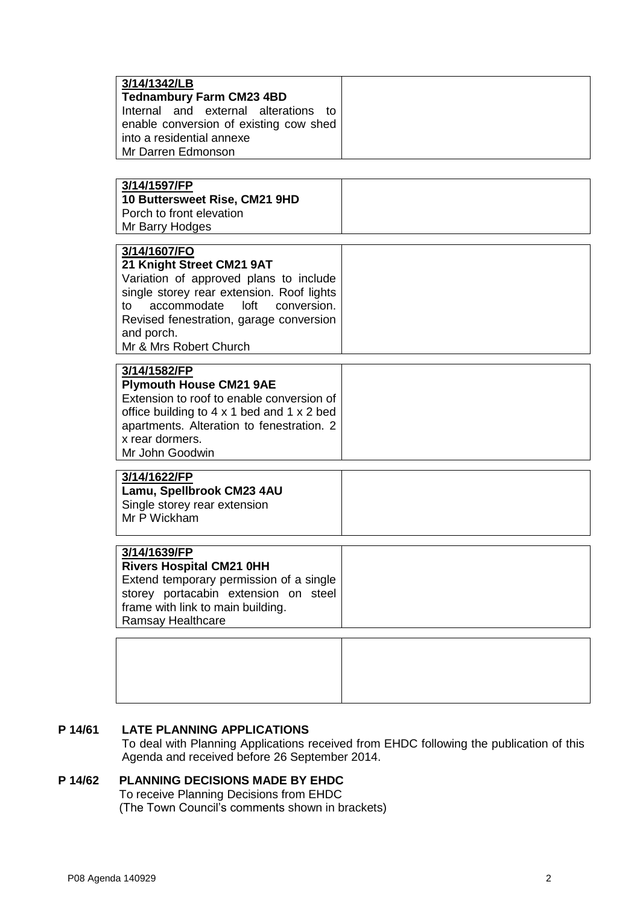| 3/14/1342/LB<br><b>Tednambury Farm CM23 4BD</b><br>Internal and external alterations<br>⊤ tດ<br>enable conversion of existing cow shed<br>into a residential annexe<br>Mr Darren Edmonson                                                                       |  |
|-----------------------------------------------------------------------------------------------------------------------------------------------------------------------------------------------------------------------------------------------------------------|--|
| 3/14/1597/FP<br>10 Buttersweet Rise, CM21 9HD<br>Porch to front elevation<br>Mr Barry Hodges                                                                                                                                                                    |  |
| 3/14/1607/FO<br>21 Knight Street CM21 9AT<br>Variation of approved plans to include<br>single storey rear extension. Roof lights<br>accommodate<br>loft<br>conversion.<br>to<br>Revised fenestration, garage conversion<br>and porch.<br>Mr & Mrs Robert Church |  |
| 3/14/1582/FP<br><b>Plymouth House CM21 9AE</b><br>Extension to roof to enable conversion of<br>office building to $4 \times 1$ bed and $1 \times 2$ bed<br>apartments. Alteration to fenestration. 2<br>x rear dormers.<br>Mr John Goodwin                      |  |
| 3/14/1622/FP<br>Lamu, Spellbrook CM23 4AU<br>Single storey rear extension<br>Mr P Wickham                                                                                                                                                                       |  |
| 3/14/1639/FP<br><b>Rivers Hospital CM21 0HH</b><br>Extend temporary permission of a single<br>storey portacabin extension on steel<br>frame with link to main building.<br>Ramsay Healthcare                                                                    |  |
|                                                                                                                                                                                                                                                                 |  |

#### **P 14/61 LATE PLANNING APPLICATIONS**

To deal with Planning Applications received from EHDC following the publication of this Agenda and received before 26 September 2014.

### **P 14/62 PLANNING DECISIONS MADE BY EHDC**

To receive Planning Decisions from EHDC (The Town Council's comments shown in brackets)